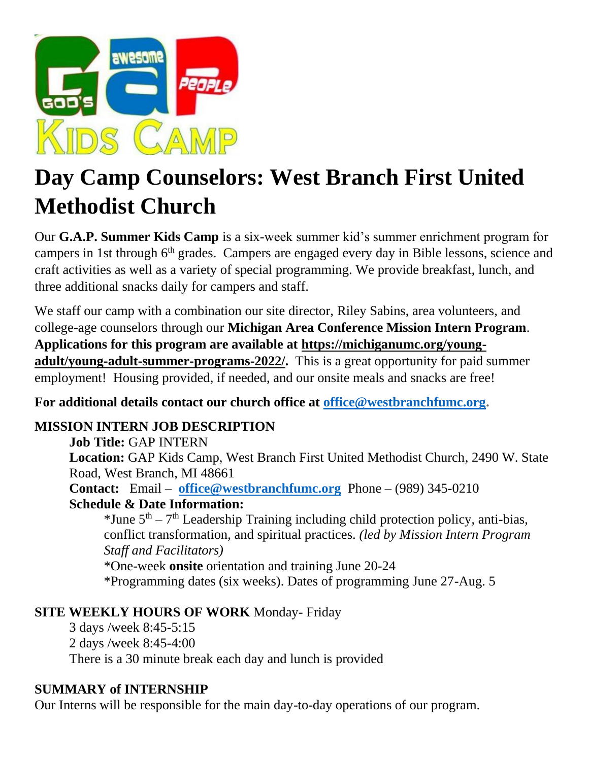

# **Day Camp Counselors: West Branch First United Methodist Church**

Our **G.A.P. Summer Kids Camp** is a six-week summer kid's summer enrichment program for campers in 1st through 6th grades. Campers are engaged every day in Bible lessons, science and craft activities as well as a variety of special programming. We provide breakfast, lunch, and three additional snacks daily for campers and staff.

We staff our camp with a combination our site director, Riley Sabins, area volunteers, and college-age counselors through our **Michigan Area Conference Mission Intern Program**. **Applications for this program are available at [https://michiganumc.org/young](https://michiganumc.org/young-adult/young-adult-summer-programs-2022/)[adult/young-adult-summer-programs-2022/.](https://michiganumc.org/young-adult/young-adult-summer-programs-2022/)** This is a great opportunity for paid summer employment! Housing provided, if needed, and our onsite meals and snacks are free!

**For additional details contact our church office at [office@westbranchfumc.org.](mailto:office@westbranchfumc.org)**

## **MISSION INTERN JOB DESCRIPTION**

## **Job Title:** GAP INTERN

**Location:** GAP Kids Camp, West Branch First United Methodist Church, 2490 W. State Road, West Branch, MI 48661

**Contact:** Email – **[office@westbranchfumc.org](mailto:office@westbranchfumc.org)** Phone – (989) 345-0210 **Schedule & Date Information:**

\*June  $5<sup>th</sup> - 7<sup>th</sup>$  Leadership Training including child protection policy, anti-bias, conflict transformation, and spiritual practices. *(led by Mission Intern Program Staff and Facilitators)*

\*One-week **onsite** orientation and training June 20-24

\*Programming dates (six weeks). Dates of programming June 27-Aug. 5

## **SITE WEEKLY HOURS OF WORK** Monday- Friday

3 days /week 8:45-5:15 2 days /week 8:45-4:00 There is a 30 minute break each day and lunch is provided

## **SUMMARY of INTERNSHIP**

Our Interns will be responsible for the main day-to-day operations of our program.